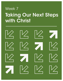# Taking Our Next Steps with Christ Week 7

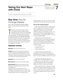# **Taking Our Next Steps with Christ**

Grace is opposed to earning, not effort.

# **Day One:** How To Change Deeply

Go to the Living FDFD website, Week Seven, to the audio resources for this day.

The goal of this seven-week study is<br>our transformation through a joyful<br>relationship with Christ. In this messe<br>Tim Keller addresses what it means t<br>change deeply. The important thing that he goal of this seven-week study is our transformation through a joyful relationship with Christ. In this message Tim Keller addresses what it means to we need to grasp is that WE ARE CHANGED BY WHAT WE LOVE. This type of change goes beyond moralism and is a by-product of living out our new identity as "loved by God." This is life change with a smile on our face and delight in our heart.

### **MESSAGE OUTLINE:**

**Question:** Why does God love us?

**Answer:** He loves us because He loves us. In other words, it is His pleasure. That's not easy to understand, but it beats the wrong thinking of those that believe that God loves us because of the good things we do.

**Question:** Why do we love God?

**Bad Answer:** Becasue we find Him useful.

**Good Answer:** We love Him because He first loved us. Everything comes from God, including love.

Conviction of sin should flow out of a realization that we are secure in God's love– no matter what. When we know God is never done loving us, even in the midst of our

struggle against sin, we will, over time, draw near to Him and see the victory we long for.

**Living FDFD**

Week**7**

#### **How Do We Change Deeply?**

1. Be convinced that there is nothing you can do to get God to love you more and there is nothing you can do that would cause Him to love you less. You are IN CHRIST–nothing can separate you from the love of Christ. There is a big difference in proclaiming "I'm a good Christian" and "I'm in Christ–LOVED BY HIM."

2. Because we are loved by God unconditionally we can be like the Apostle and be honest about our struggle with sin. In fact, if we thought that God loved us because we were good and worthy of His love, we would ...

- a. Try to hide our sin.
- b. Justify our sin.
- c. Feel condemned.

 3. We all need to remember the meditation of the Apostle Paul (Romans 8:1) that there is now no condemnation for those who are IN CHRIST. If we do this, we will …

a. Be free to talk openly about our struggle with sin and get help from others.

b. Be poor in spirit. We will be humble about our ability to resist sin and start to depend on God for help and strength.

4. We need to focus our attention on the roots of sin instead of the branches. In other words, we need to look at our affections not just our actions. The only hope for sinners is to develop a deeper love for God than for our sin.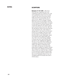## **NOTES: SCRIPTURE:**

**Romans 7:7- 8:1 NIV** | *We know that the law is spiritual; but I am unspiritual, sold as a slave to sin. I do not understand what I do. For what I want to do I do not do, but what I hate I do. And if I do what I do not want to do, I agree that the law is good. As it is, it is no longer I myself who do it, but it is sin living in me. For I know that good itself does not dwell in me, that is, in my sinful nature. For I have the desire to do what is good, but I cannot carry it out. For I do not do the good I want to do, but the evil I do not want to do—this I keep on doing. Now if I do what I do not want to do, it is no longer I who do it, but it is sin living in me that does it. So I*  !*nd this law at work: Although I want to do good, evil is right there with me. For in my inner being I delight in God's law; but I see another law at work in me, waging war against the law of my mind and making me a prisoner of the law of sin at work within me. What a wretched man I am! Who will rescue me from this body that is subject to death? Thanks be to God, who delivers me through Jesus Christ our Lord! So then, I myself in my mind am a slave to God's law, but in my sinful nature a slave to the law of sin. Therefore, there is now no condemnation for those who are in Christ Jesus...*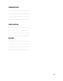#### **OBSERVATION:**

<u> 1989 - Johann Stein, mars an deutscher Stein und der Stein und der Stein und der Stein und der Stein und der</u>

the control of the control of the control of the control of the control of the control of

<u> 1989 - Johann Barn, fransk politik (f. 1989)</u>

<u> 1989 - Johann Barn, fransk politik (f. 1989)</u>

<u> 1989 - Andrea Stadt Britain, amerikansk politik (\* 1908)</u>

 $\overline{a}$ 

**APPLICATION:**

**PRAYER:** 

 $\overline{\phantom{0}}$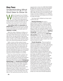# **Day Two:**  Understanding What God Uses to Grow Us

Mat is the goal of our Christian<br>
life? What is it that God wants to<br>
see produced in each one of<br>
our lives? I think the answer to<br>
these questions is FAITH and FRUIT. Let's take life? What is it that God wants to see produced in each one of our lives? I think the answer to a look at each of these and then look at how they are produced in each believer.

*"And without faith it is impossible to please God, because anyone who comes to him must believe that he exists and that he rewards those who earnestly seek him"* (**Hebrews 11:6 NIV**)

What the writer of Hebrews is telling us is that it pleases God whenever we take our next step of faith. Whenever we take the next step of trust, we take another step farther down the path of FDFD. Also, it pleases God when we take a step of faith toward trusting Him to do what He promised He would do.

Faith, or trust, is at the center of every healthy relationship. Sin was introduced into the world when Adam and Eve chose not to trust. At that point their relationship with God was broken. When we trust God, we are participating with God in His reconciling work by receiving His forgiveness and grace. The key to spiritual growth is our happy response to God's invitation to trust Him.

There are at least five faith catalysts. Two of these catalysts we have nothing to do with. In a sense, we are simply the recipients of and the beneficiary of something that God does. Those two would be: **Providential Relationships** and **Pivotal Circumstances**. (See Andy Stanley's book *Deep and Wide* for the source of these five faith catalysts.) We almost never hear a person's faith story without hearing about someone who influenced them to take a step toward Christ. It could be a family member or friend, but whoever it is, they had taken their own step on their spiritual journey then took the

opportunity to share the HOPE DISCOVERED IN THEM with someone else. We will explore Pivotal Circumstances later, but let's just admit for now that these circumstances are often difficult. There are circumstances that cause us to lose confidence in our ability to control outcomes and instead, turn to Christ for help and hope.

The three Faith Catalysts we have some control over are:

**Practical Teaching**. We have a responsibility to expose ourselves to good biblical teaching that is understandable, helpful and hopeful. Once we do this, the Holy Spirit takes that content and uses it to grow our faith. The important aspect of this catalyst is that we actually try to do what we hear. Listen to the words of Jesus in **Matthew 7:24,26 NIV**: *"Therefore everyone who hears these words of mine and puts them into practice is like a wise man who built his house on the rock… But everyone who hears these words of mine and does not put them into practice is like a foolish man who built his house on sand."*

**Private Disciplines**. *"Personal spiritual disciplines introduce a sense of intimacy and accountability to our faith walks. Private spiritual disciplines tune our hearts to the heart of God and underscore personal accountability to our heavenly Father."* (Andy Stanley, *Deep and Wide*) What are examples of spiritual disciplines? The answer to that question is this: it is anything you make yourself do (at least at first) that places you in a position to recognize the wonder of God and to discover His goodness and greatness. We cannot make ourselves grow, but by reading the Bible, praying, giving, spending time in solitude, fasting (from food or something else), or simply listening to great Christian music, we can place our "cup" (our heart) in position to receive God's Living Water. By the way, as you have participated in this study by meditating on Scripture, developing convictions, and connecting with God in prayer, you have done Private Disciplines.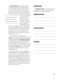**Personal Ministry.** We all fight our flesh or sinful nature. Personal ministry takes us out of the selfish world we live in and puts us in a world that costs us time, money and effort—the world of service. Some of us need to simply make ourselves available for service instead of picking and choosing

"Some people are just too lazy to be happy."—Paul Robie when and where and who we will serve. We need to do this since it is easy to convince ourselves to do that which will get us noticed or applauded. We will

never put a dagger into our sinful nature if we do only that which makes us feel good about ourselves. (BTW: Some people know this, but just in case no one has told you, available to all of us is an ancient cure for depression: serve someone who is less fortunate than you.)

Spiritual FRUIT is something that is organic (can't be manufactured), slow, and INDIRECT. It is especially helpful to know that the FRUIT OF THE SPIRIT (**Galatians 5:22-23**) is something that God does, not us. All we do is cooperate with God by doing the kinds of things that help us receive from Him what is needed for our growth. Jesus called this ABIDING (**John 15**). It is our job to stay connected to Christ through the means described above.

 At SMCC we like to say, "It's not about TRYING HARDER; it's about TRAINING BETTER." In other words, you cannot grow in your trust for God by trying harder. You must train better by participating in the three "faith catalysts" that God has given you to do. This isn't hard, but it is INTENTIONAL. And that is why "SOME PEOPLE ARE JUST TOO LAZY TO BE HAPPY." We must make ourselves do some things so that we can grow and experience the joy that is in Christ.

#### **SCRIPTURE:**

**1 Timothy 4:7 NIV** | *Have nothing to do with godless myths and old wives' tales; rather, train yourself to be godly.*

#### **OBSERVATION:**

#### **APPLICATION:**

#### **PRAYER:**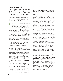# **Day Three:** No Pain, No Gain—The Role of Suffering and Grief In Our Spiritual Growth

"Grief is the one pain that heals all others. It is the most important pain there is." Henry Cloud

If one of you walked out of this meeting<br>and a guy with a mask walked up to<br>you in the dark parking lot, took out<br>a knife, stabbed you in the stomach<br>and took all your money, and left you in and a guy with a mask walked up to you in the dark parking lot, took out a knife, stabbed you in the stomach and took all your money, and left you in an unconscious state, you would call him a mugger. Someone would call the police, and they would try to catch the perpetrator. But if you left this meeting, drove down the street to the local hospital, and a guy with a mask took out a knife, cut your stomach open, took all your money, and left you in an unconscious state, you would call him a doctor and thank him for helping you. One is a mugger and the other is a surgeon" (Henry Cloud, *How People Grow*).

Suffering is a lot like that. There is THERAPEUTIC SUFFERING and there is DESTRUCTIVE SUFFERING at the hands of evil people. The key, Dr. Cloud says, is to be able to tell the difference between the two and to apply the right kind of response to each. When life "mugs" someone, we need to give them help and healing, support and comfort. One thing we can do for each other is help during times like this "(*Carry each other's burdens, and in this way you will ful*!*ll the law of Christ* (**Galatians 6:2 NIV**)."

A "mugging" can help us develop empathy for others and can help us not to put too much hope in this world.

But there is another kind of pain that can actually grow us—"good pain." This is the kind of pain that God uses to grow our character. Two passages of Scripture that

help us see this are the following:

*"Not only so, but we also glory in our sufferings, because we know that suffering produces perseverance; 4 perseverance, character; and character, hope* (**Romans 5:3-4 NIV**)."

*"In your struggle against sin, you have not yet resisted to the point of shedding your blood. And have you completely forgotten this word of encouragement that addresses you as a father addresses his son? It says, "My son, do not make light of the Lord's discipline and do not lose heart when he rebukes you, because the Lord disciplines the one he loves, and he chastens everyone he accepts as his son." Endure hardship as discipline; God is treating you as his children. For what children are not disciplined by their father? If you are not disciplined—and everyone undergoes discipline—then you are not legitimate, not true sons and daughters at all. Moreover, we have all had human fathers who disciplined us and we respected them for it. How much more should we submit to the Father of spirits and live! They disciplined us for a little while as they thought best; but God disciplines us for our good, in order that we may share in his holiness. No discipline seems pleasant at the time, but painful. Later on, however, it produces a harvest of righteousness and peace for those who have been trained by it* (**Hebrews 12:4-11 NIV**)."

Three things we can do in order to grow when experiencing GOOD PAIN:

1) **Go through it and don't try to escape by using drugs, pleasure, or isolation**. Remember, reality is our friend. These escapes are coping mechanisms that we have to reject in order to grow. When we go through pain and suffering, we give God a chance to meet us there in the pain. Someone said, "You won't realize that God is all you need until He is all you have." There is a lot of truth in that statement.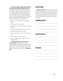2) **Use the reality of pain and suffering to reveal how spiritually WEAK we are**. If trials are crushing us, we can use that as an indication that it is time to start to build our spiritual strength. When we exercise, we are pushing our muscles to do what is uncomfortable. When we keep doing this, the pain becomes lessened over time. Here are some examples of spiritual exercises that build endurance during trials:

- Reach out to others from a vulnerable heart
- Confess sin to one another
- Stop faking it let others know that we are hurting
- Take the risk of being real and honest
- Deal with trauma from our past
- Say what you mean and mean what you say
- Serve someone who is hurting
- Learn to forgive, grieve, make amends, and reconcile

3) **Use this pain to push us into the arms of God**. Sometimes we need to simply lament—that is, stop complaining to everyone else and go to God in our distress. Peter told us this: "*Cast all your anxiety on him because he cares for you.* (**1 Peter 5:7 NIV**)."

#### **SCRIPTURE:**

**James 1:2-4 NIV** |*Consider it pure joy, my brothers and sisters, whenever you face trials of many kinds, because you know that the testing of your faith produces perseverance. Let perseverance* !*nish its work so that you may be mature and complete, not lacking anything.*

#### **OBSERVATION:**

#### **APPLICATION:**

**PRAYER:**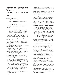# **Day Four: Permanent** Transformation Is Consistent in This New Love

#### **Today's Reading:**

**1 John 4:19 NIV** | *We love because he*  !*rst loved us.*

**John 1:13 NIV** *| Greater love has no one than this: to lay down one's life for one's friends.*

The key to our life being transformed<br>by God from the inside out is not so<br>much a change in our BEHAVIORS<br>but a change in our DESIRES. The way<br>we will stop sinning is not by being told over The key to our life being transformed by God from the inside out is not so much a change in our BEHAVIORS but a change in our DESIRES. The way and over, "Stop sinning!" but by seeing God for who He really is–big, beautiful, good, great and wise.

Some of you might push back by asking, "Then why does God give us commands?" We'll get to that, but for now, let's see what will ultimately lead to our transformation. J.D. Greear shares this illustration:

*"Think of it like a balloon. There are two ways to keep a balloon afloat. If you fill a balloon with your breath, then the only way to keep it in the air is to continually smack it upward. That's how religion keeps you motivated: it repeatedly "hits" you. "Stop doing this!" "Get busy with that!" This is my life as a pastor. People come on a Sunday so I can "smack" them about something. "Be more generous!" And they do that for a week. "Go do missions!" And they sign up for a trip. Every week I smack them back into spiritual orbit. No wonder people don't like being around me. But there's another way to keep a balloon a*"*oat. Fill it with helium. Then it* "*oats on its own, no smacking required. Seeing the size and beauty of God is like the helium that keeps us soaring spiritually."*(*Gospel*)

Puritan Thomas Chalmers called this "the expulsive power of a new affection." You see, our affections for idols—our "over–desire" for things that won't satisfy—are brought under control when they are taken captive by a STRONGER, MORE SUPERIOR AFFECTION.

This is why we should never take our eyes off the Cross of Christ. We should never stop measuring His compassion and love for us by what He did for us on the Cross. This is why the Apostle Paul could sum up his ministry in this way: "*... but we preach Christ cruci*!*ed: a stumbling block to Jews and*  **foolishness** *to Gentiles"* (**1 Cor. 1:23 NIV**).

The reason the Apostle Paul says that others will consider the cross foolishness is because it is a radically different motivating force than anything else in the world. Most people understand behavior modification as the way to change people. But instead of a "carrot and stick" approach to motivation, Paul knew that God had "bet the farm" that love on the cross would change people sufficiently and permanently. All of God's goodness and greatness is wrapped up in this one act of grace.

If God's love for you found in the sacrifice of His Son doesn't draw your affections to God and produce in you a sense of His greatness, then your heart has not been transformed and you will need "smacking continuously." Until this new affection is produced in us by the Cross, all our lifestyle changes will be superficial and all we have left to motivate us is the threat of punishment or the promise of reward. In other words, we have become a religious person, perhaps without knowing it.

Seeing the glory of God revealed in the Gospel gives us freedom from both sin and religion. The Gospel sets us free from the threat of condemnation and changes our hearts so that it is "our pleasure" to serve Him. This is what is meant by **Full Devotion** and **Full Delight**. Our devotion is to know God and to see Him for who He really is. The by-product of that is our joy in honoring Him and making Him known.